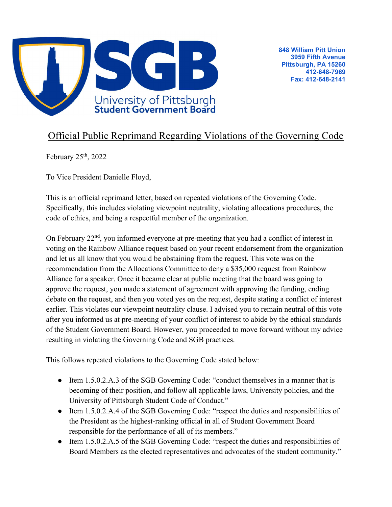

## Official Public Reprimand Regarding Violations of the Governing Code

February  $25<sup>th</sup>$ , 2022

To Vice President Danielle Floyd,

This is an official reprimand letter, based on repeated violations of the Governing Code. Specifically, this includes violating viewpoint neutrality, violating allocations procedures, the code of ethics, and being a respectful member of the organization.

On February 22<sup>nd</sup>, you informed everyone at pre-meeting that you had a conflict of interest in voting on the Rainbow Alliance request based on your recent endorsement from the organization and let us all know that you would be abstaining from the request. This vote was on the recommendation from the Allocations Committee to deny a \$35,000 request from Rainbow Alliance for a speaker. Once it became clear at public meeting that the board was going to approve the request, you made a statement of agreement with approving the funding, ending debate on the request, and then you voted yes on the request, despite stating a conflict of interest earlier. This violates our viewpoint neutrality clause. I advised you to remain neutral of this vote after you informed us at pre-meeting of your conflict of interest to abide by the ethical standards of the Student Government Board. However, you proceeded to move forward without my advice resulting in violating the Governing Code and SGB practices.

This follows repeated violations to the Governing Code stated below:

- Item 1.5.0.2.A.3 of the SGB Governing Code: "conduct themselves in a manner that is becoming of their position, and follow all applicable laws, University policies, and the University of Pittsburgh Student Code of Conduct."
- Item 1.5.0.2.A.4 of the SGB Governing Code: "respect the duties and responsibilities of the President as the highest-ranking official in all of Student Government Board responsible for the performance of all of its members."
- Item 1.5.0.2.A.5 of the SGB Governing Code: "respect the duties and responsibilities of Board Members as the elected representatives and advocates of the student community."